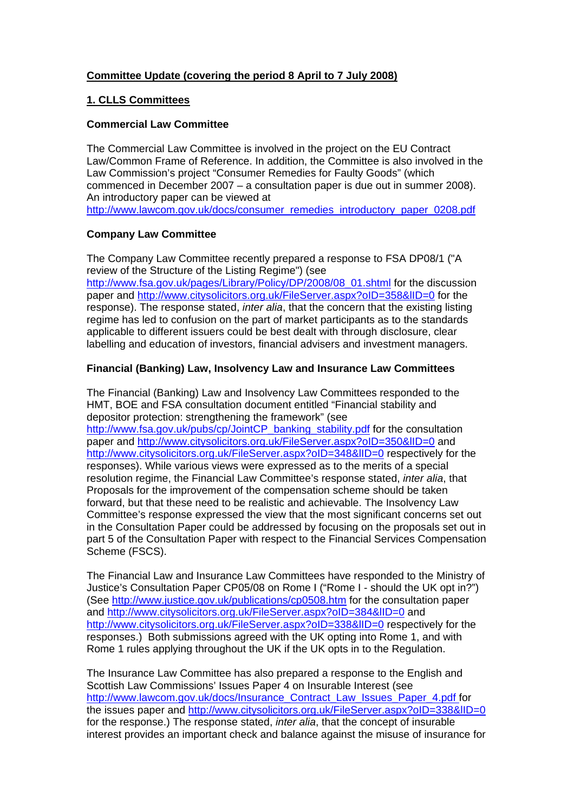# **Committee Update (covering the period 8 April to 7 July 2008)**

## **1. CLLS Committees**

## **Commercial Law Committee**

The Commercial Law Committee is involved in the project on the EU Contract Law/Common Frame of Reference. In addition, the Committee is also involved in the Law Commission's project "Consumer Remedies for Faulty Goods" (which commenced in December 2007 – a consultation paper is due out in summer 2008). An introductory paper can be viewed at http://www.lawcom.gov.uk/docs/consumer\_remedies\_introductory\_paper\_0208.pdf

## **Company Law Committee**

The Company Law Committee recently prepared a response to FSA DP08/1 ("A review of the Structure of the Listing Regime") (see [http://www.fsa.gov.uk/pages/Library/Policy/DP/2008/08\\_01.shtml](http://www.fsa.gov.uk/pages/Library/Policy/DP/2008/08_01.shtml) for the discussion paper and http://www.citysolicitors.org.uk/FileServer.aspx?oID=358&IID=0 for the response). The response stated, *inter alia*, that the concern that the existing listing regime has led to confusion on the part of market participants as to the standards applicable to different issuers could be best dealt with through disclosure, clear labelling and education of investors, financial advisers and investment managers.

# **Financial (Banking) Law, Insolvency Law and Insurance Law Committees**

The Financial (Banking) Law and Insolvency Law Committees responded to the HMT, BOE and FSA consultation document entitled "Financial stability and depositor protection: strengthening the framework" (see http://www.fsa.gov.uk/pubs/cp/JointCP\_banking\_stability.pdf for the consultation paper and<http://www.citysolicitors.org.uk/FileServer.aspx?oID=350&lID=0>and http://www.citysolicitors.org.uk/FileServer.aspx?oID=348&IID=0 respectively for the responses). While various views were expressed as to the merits of a special resolution regime, the Financial Law Committee's response stated, *inter alia*, that Proposals for the improvement of the compensation scheme should be taken forward, but that these need to be realistic and achievable. The Insolvency Law Committee's response expressed the view that the most significant concerns set out in the Consultation Paper could be addressed by focusing on the proposals set out in part 5 of the Consultation Paper with respect to the Financial Services Compensation Scheme (FSCS).

The Financial Law and Insurance Law Committees have responded to the Ministry of Justice's Consultation Paper CP05/08 on Rome I ("Rome I - should the UK opt in?") (See<http://www.justice.gov.uk/publications/cp0508.htm> for the consultation paper and http://www.citysolicitors.org.uk/FileServer.aspx?oID=384&lID=0 and http://www.citysolicitors.org.uk/FileServer.aspx?oID=338&IID=0 respectively for the responses.) Both submissions agreed with the UK opting into Rome 1, and with Rome 1 rules applying throughout the UK if the UK opts in to the Regulation.

The Insurance Law Committee has also prepared a response to the English and Scottish Law Commissions' Issues Paper 4 on Insurable Interest (see http://www.lawcom.gov.uk/docs/Insurance\_Contract\_Law\_Issues\_Paper\_4.pdf for the issues paper and http://www.citysolicitors.org.uk/FileServer.aspx?oID=338&lID=0 for the response.) The response stated, *inter alia*, that the concept of insurable interest provides an important check and balance against the misuse of insurance for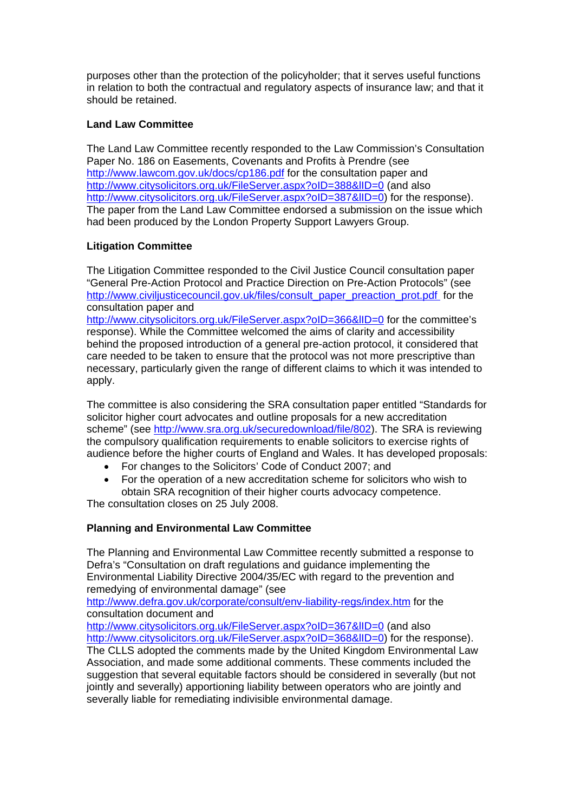purposes other than the protection of the policyholder; that it serves useful functions in relation to both the contractual and regulatory aspects of insurance law; and that it should be retained.

# **Land Law Committee**

The Land Law Committee recently responded to the Law Commission's Consultation Paper No. 186 on Easements, Covenants and Profits à Prendre (see <http://www.lawcom.gov.uk/docs/cp186.pdf>for the consultation paper and http://www.citysolicitors.org.uk/FileServer.aspx?oID=388&IID=0 (and also http://www.citysolicitors.org.uk/FileServer.aspx?oID=387&IID=0) for the response). The paper from the Land Law Committee endorsed a submission on the issue which had been produced by the London Property Support Lawyers Group.

# **Litigation Committee**

The Litigation Committee responded to the Civil Justice Council consultation paper "General Pre-Action Protocol and Practice Direction on Pre-Action Protocols" (see http://www.civiliusticecouncil.gov.uk/files/consult\_paper\_preaction\_prot.pdf for the consultation paper and

http://www.citysolicitors.org.uk/FileServer.aspx?oID=366&IID=0 for the committee's response). While the Committee welcomed the aims of clarity and accessibility behind the proposed introduction of a general pre-action protocol, it considered that care needed to be taken to ensure that the protocol was not more prescriptive than necessary, particularly given the range of different claims to which it was intended to apply.

The committee is also considering the SRA consultation paper entitled "Standards for solicitor higher court advocates and outline proposals for a new accreditation scheme" (see http://www.sra.org.uk/securedownload/file/802). The SRA is reviewing the compulsory qualification requirements to enable solicitors to exercise rights of audience before the higher courts of England and Wales. It has developed proposals:

- For changes to the Solicitors' Code of Conduct 2007; and
- For the operation of a new accreditation scheme for solicitors who wish to obtain SRA recognition of their higher courts advocacy competence.

The consultation closes on 25 July 2008.

# **Planning and Environmental Law Committee**

The Planning and Environmental Law Committee recently submitted a response to Defra's "Consultation on draft regulations and guidance implementing the Environmental Liability Directive 2004/35/EC with regard to the prevention and remedying of environmental damage" (see

<http://www.defra.gov.uk/corporate/consult/env-liability-regs/index.htm>for the consultation document and

http://www.citysolicitors.org.uk/FileServer.aspx?oID=367&IID=0 (and also http://www.citysolicitors.org.uk/FileServer.aspx?oID=368&IID=0) for the response). The CLLS adopted the comments made by the United Kingdom Environmental Law Association, and made some additional comments. These comments included the suggestion that several equitable factors should be considered in severally (but not jointly and severally) apportioning liability between operators who are jointly and severally liable for remediating indivisible environmental damage.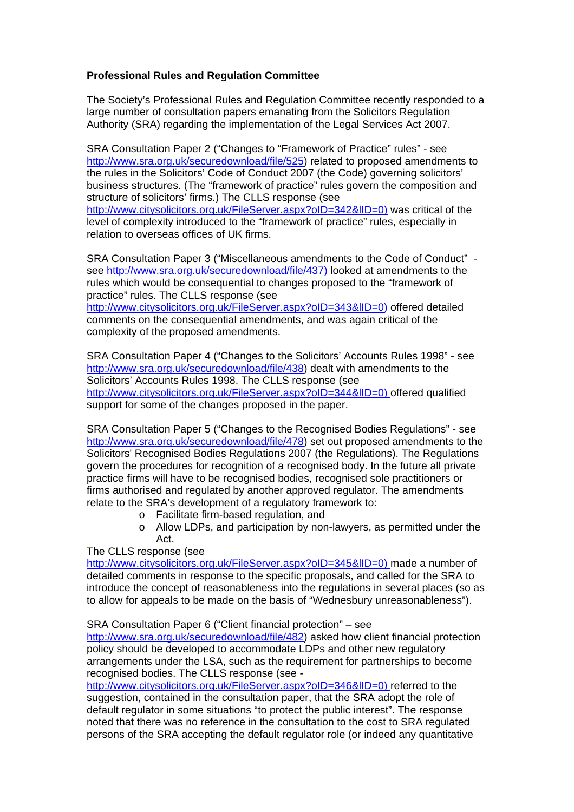## **Professional Rules and Regulation Committee**

The Society's Professional Rules and Regulation Committee recently responded to a large number of consultation papers emanating from the Solicitors Regulation Authority (SRA) regarding the implementation of the Legal Services Act 2007.

SRA Consultation Paper 2 ("Changes to "Framework of Practice" rules" - see http://www.sra.org.uk/securedownload/file/525) related to proposed amendments to the rules in the Solicitors' Code of Conduct 2007 (the Code) governing solicitors' business structures. (The "framework of practice" rules govern the composition and structure of solicitors' firms.) The CLLS response (see http://www.citysolicitors.org.uk/FileServer.aspx?oID=342&IID=0) was critical of the level of complexity introduced to the "framework of practice" rules, especially in relation to overseas offices of UK firms.

SRA Consultation Paper 3 ("Miscellaneous amendments to the Code of Conduct" see [http://www.sra.org.uk/securedownload/file/437\)](http://www.sra.org.uk/securedownload/file/437) looked at amendments to the rules which would be consequential to changes proposed to the "framework of practice" rules. The CLLS response (see <http://www.citysolicitors.org.uk/FileServer.aspx?oID=343&lID=0>) offered detailed comments on the consequential amendments, and was again critical of the complexity of the proposed amendments.

SRA Consultation Paper 4 ("Changes to the Solicitors' Accounts Rules 1998" - see http://www.sra.org.uk/securedownload/file/438) dealt with amendments to the Solicitors' Accounts Rules 1998. The CLLS response (see http://www.citysolicitors.org.uk/FileServer.aspx?oID=344&IID=0) offered qualified support for some of the changes proposed in the paper.

SRA Consultation Paper 5 ("Changes to the Recognised Bodies Regulations" - see http://www.sra.org.uk/securedownload/file/478) set out proposed amendments to the Solicitors' Recognised Bodies Regulations 2007 (the Regulations). The Regulations govern the procedures for recognition of a recognised body. In the future all private practice firms will have to be recognised bodies, recognised sole practitioners or firms authorised and regulated by another approved regulator. The amendments relate to the SRA's development of a regulatory framework to:

- o Facilitate firm-based regulation, and
- o Allow LDPs, and participation by non-lawyers, as permitted under the Act.

The CLLS response (see

http://www.citysolicitors.org.uk/FileServer.aspx?oID=345&IID=0) made a number of detailed comments in response to the specific proposals, and called for the SRA to introduce the concept of reasonableness into the regulations in several places (so as to allow for appeals to be made on the basis of "Wednesbury unreasonableness").

SRA Consultation Paper 6 ("Client financial protection" – see

[http://www.sra.org.uk/securedownload/file/482](http://www.sra.org.uk/consultations/481.article)) asked how client financial protection policy should be developed to accommodate LDPs and other new regulatory arrangements under the LSA, such as the requirement for partnerships to become recognised bodies. The CLLS response (see -

http://www.citysolicitors.org.uk/FileServer.aspx?oID=346&IID=0) referred to the suggestion, contained in the consultation paper, that the SRA adopt the role of default regulator in some situations "to protect the public interest". The response noted that there was no reference in the consultation to the cost to SRA regulated persons of the SRA accepting the default regulator role (or indeed any quantitative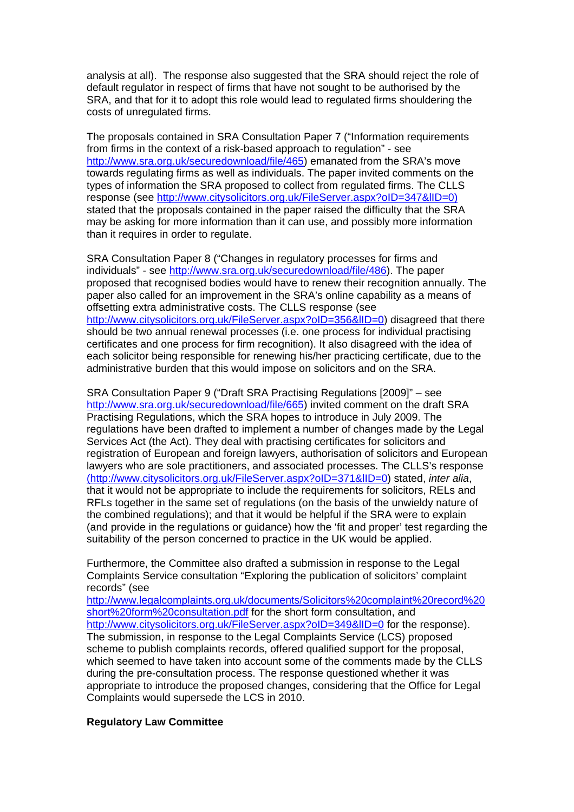analysis at all). The response also suggested that the SRA should reject the role of default regulator in respect of firms that have not sought to be authorised by the SRA, and that for it to adopt this role would lead to regulated firms shouldering the costs of unregulated firms.

The proposals contained in SRA Consultation Paper 7 ("Information requirements from firms in the context of a risk-based approach to regulation" - see http://www.sra.org.uk/securedownload/file/465) emanated from the SRA's move towards regulating firms as well as individuals. The paper invited comments on the types of information the SRA proposed to collect from regulated firms. The CLLS response (see [http://www.citysolicitors.org.uk/FileServer.aspx?oID=347&lID=0\)](http://www.citysolicitors.org.uk/FileServer.aspx?oID=347&lID=0) stated that the proposals contained in the paper raised the difficulty that the SRA may be asking for more information than it can use, and possibly more information than it requires in order to regulate.

SRA Consultation Paper 8 ("Changes in regulatory processes for firms and individuals" - see http://www.sra.org.uk/securedownload/file/486). The paper proposed that recognised bodies would have to renew their recognition annually. The paper also called for an improvement in the SRA's online capability as a means of offsetting extra administrative costs. The CLLS response (see http://www.citysolicitors.org.uk/FileServer.aspx?oID=356&IID=0) disagreed that there should be two annual renewal processes (i.e. one process for individual practising certificates and one process for firm recognition). It also disagreed with the idea of each solicitor being responsible for renewing his/her practicing certificate, due to the administrative burden that this would impose on solicitors and on the SRA.

SRA Consultation Paper 9 ("Draft SRA Practising Regulations [2009]" – see <http://www.sra.org.uk/securedownload/file/665>) invited comment on the draft [S](http://www.sra.org.uk/securedownload/file/665)RA Practising Regulations, which the SRA hopes to introduce in July 2009. The regulations have been drafted to implement a number of changes made by the Legal Services Act (the Act). They deal with practising certificates for solicitors and registration of European and foreign lawyers, authorisation of solicitors and European lawyers who are sole practitioners, and associated processes. The CLLS's response (http://www.citysolicitors.org.uk/FileServer.aspx?oID=371&lID=0) stated, *inter alia*, that it would not be appropriate to include the requirements for solicitors, RELs and RFLs together in the same set of regulations (on the basis of the unwieldy nature of the combined regulations); and that it would be helpful if the SRA were to explain (and provide in the regulations or guidance) how the 'fit and proper' test regarding the suitability of the person concerned to practice in the UK would be applied.

Furthermore, the Committee also drafted a submission in response to the Legal Complaints Service consultation "Exploring the publication of solicitors' complaint records" (see

http://www.legalcomplaints.org.uk/documents/Solicitors%20complaint%20record%20 short%20form%20consultation.pdf for the short form consultation, and http://www.citysolicitors.org.uk/FileServer.aspx?oID=349&IID=0 for the response). The submission, in response to the Legal Complaints Service (LCS) proposed scheme to publish complaints records, offered qualified support for the proposal, which seemed to have taken into account some of the comments made by the CLLS during the pre-consultation process. The response questioned whether it was appropriate to introduce the proposed changes, considering that the Office for Legal Complaints would supersede the LCS in 2010.

## **Regulatory Law Committee**